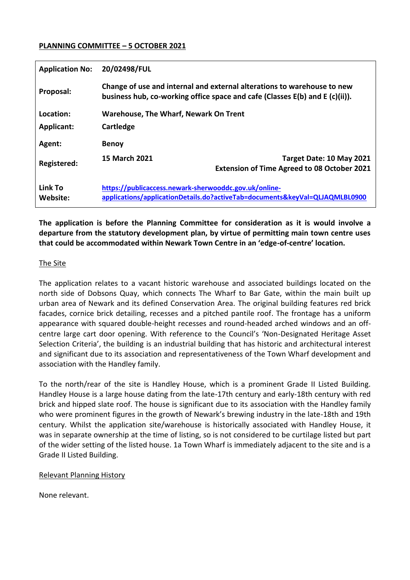#### **PLANNING COMMITTEE – 5 OCTOBER 2021**

| <b>Application No:</b> | 20/02498/FUL                                                                                                                                                |                                                    |
|------------------------|-------------------------------------------------------------------------------------------------------------------------------------------------------------|----------------------------------------------------|
| Proposal:              | Change of use and internal and external alterations to warehouse to new<br>business hub, co-working office space and cafe (Classes $E(b)$ and $E(c)(ii)$ ). |                                                    |
| Location:              | <b>Warehouse, The Wharf, Newark On Trent</b>                                                                                                                |                                                    |
| <b>Applicant:</b>      | Cartledge                                                                                                                                                   |                                                    |
| Agent:                 | <b>Benoy</b>                                                                                                                                                |                                                    |
| Registered:            | <b>15 March 2021</b>                                                                                                                                        | Target Date: 10 May 2021                           |
|                        |                                                                                                                                                             | <b>Extension of Time Agreed to 08 October 2021</b> |
| Link To<br>Website:    | https://publicaccess.newark-sherwooddc.gov.uk/online-<br>applications/applicationDetails.do?activeTab=documents&keyVal=QLJAQMLBL0900                        |                                                    |

**The application is before the Planning Committee for consideration as it is would involve a departure from the statutory development plan, by virtue of permitting main town centre uses that could be accommodated within Newark Town Centre in an 'edge-of-centre' location.**

## The Site

The application relates to a vacant historic warehouse and associated buildings located on the north side of Dobsons Quay, which connects The Wharf to Bar Gate, within the main built up urban area of Newark and its defined Conservation Area. The original building features red brick facades, cornice brick detailing, recesses and a pitched pantile roof. The frontage has a uniform appearance with squared double-height recesses and round-headed arched windows and an offcentre large cart door opening. With reference to the Council's 'Non-Designated Heritage Asset Selection Criteria', the building is an industrial building that has historic and architectural interest and significant due to its association and representativeness of the Town Wharf development and association with the Handley family.

To the north/rear of the site is Handley House, which is a prominent Grade II Listed Building. Handley House is a large house dating from the late-17th century and early-18th century with red brick and hipped slate roof. The house is significant due to its association with the Handley family who were prominent figures in the growth of Newark's brewing industry in the late-18th and 19th century. Whilst the application site/warehouse is historically associated with Handley House, it was in separate ownership at the time of listing, so is not considered to be curtilage listed but part of the wider setting of the listed house. 1a Town Wharf is immediately adjacent to the site and is a Grade II Listed Building.

#### Relevant Planning History

None relevant.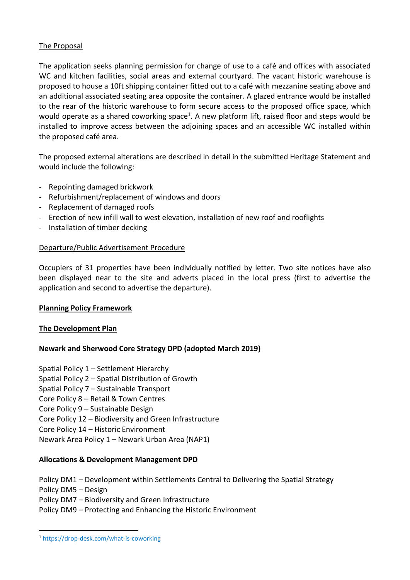## The Proposal

The application seeks planning permission for change of use to a café and offices with associated WC and kitchen facilities, social areas and external courtyard. The vacant historic warehouse is proposed to house a 10ft shipping container fitted out to a café with mezzanine seating above and an additional associated seating area opposite the container. A glazed entrance would be installed to the rear of the historic warehouse to form secure access to the proposed office space, which would operate as a shared coworking space<sup>1</sup>. A new platform lift, raised floor and steps would be installed to improve access between the adjoining spaces and an accessible WC installed within the proposed café area.

The proposed external alterations are described in detail in the submitted Heritage Statement and would include the following:

- Repointing damaged brickwork
- Refurbishment/replacement of windows and doors
- Replacement of damaged roofs
- Erection of new infill wall to west elevation, installation of new roof and rooflights
- Installation of timber decking

#### Departure/Public Advertisement Procedure

Occupiers of 31 properties have been individually notified by letter. Two site notices have also been displayed near to the site and adverts placed in the local press (first to advertise the application and second to advertise the departure).

#### **Planning Policy Framework**

#### **The Development Plan**

#### **Newark and Sherwood Core Strategy DPD (adopted March 2019)**

Spatial Policy 1 – Settlement Hierarchy

- Spatial Policy 2 Spatial Distribution of Growth
- Spatial Policy 7 Sustainable Transport
- Core Policy 8 Retail & Town Centres
- Core Policy 9 Sustainable Design
- Core Policy 12 Biodiversity and Green Infrastructure
- Core Policy 14 Historic Environment
- Newark Area Policy 1 Newark Urban Area (NAP1)

#### **Allocations & Development Management DPD**

- Policy DM1 Development within Settlements Central to Delivering the Spatial Strategy
- Policy DM5 Design

**.** 

- Policy DM7 Biodiversity and Green Infrastructure
- Policy DM9 Protecting and Enhancing the Historic Environment

<sup>1</sup> https://drop-desk.com/what-is-coworking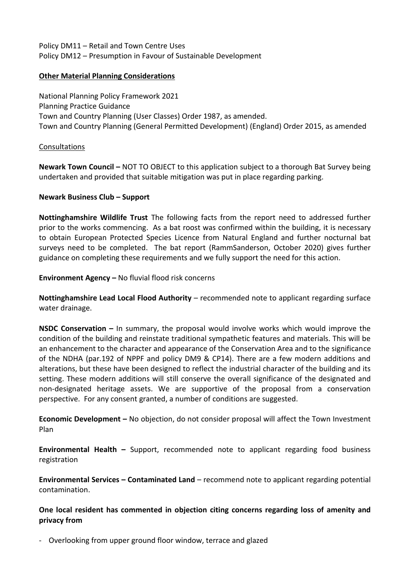Policy DM11 – Retail and Town Centre Uses Policy DM12 – Presumption in Favour of Sustainable Development

## **Other Material Planning Considerations**

National Planning Policy Framework 2021 Planning Practice Guidance Town and Country Planning (User Classes) Order 1987, as amended. Town and Country Planning (General Permitted Development) (England) Order 2015, as amended

#### Consultations

**Newark Town Council –** NOT TO OBJECT to this application subject to a thorough Bat Survey being undertaken and provided that suitable mitigation was put in place regarding parking.

## **Newark Business Club – Support**

**Nottinghamshire Wildlife Trust** The following facts from the report need to addressed further prior to the works commencing. As a bat roost was confirmed within the building, it is necessary to obtain European Protected Species Licence from Natural England and further nocturnal bat surveys need to be completed. The bat report (RammSanderson, October 2020) gives further guidance on completing these requirements and we fully support the need for this action.

**Environment Agency –** No fluvial flood risk concerns

**Nottinghamshire Lead Local Flood Authority** – recommended note to applicant regarding surface water drainage.

**NSDC Conservation –** In summary, the proposal would involve works which would improve the condition of the building and reinstate traditional sympathetic features and materials. This will be an enhancement to the character and appearance of the Conservation Area and to the significance of the NDHA (par.192 of NPPF and policy DM9 & CP14). There are a few modern additions and alterations, but these have been designed to reflect the industrial character of the building and its setting. These modern additions will still conserve the overall significance of the designated and non-designated heritage assets. We are supportive of the proposal from a conservation perspective. For any consent granted, a number of conditions are suggested.

**Economic Development –** No objection, do not consider proposal will affect the Town Investment Plan

**Environmental Health –** Support, recommended note to applicant regarding food business registration

**Environmental Services – Contaminated Land** – recommend note to applicant regarding potential contamination.

**One local resident has commented in objection citing concerns regarding loss of amenity and privacy from**

- Overlooking from upper ground floor window, terrace and glazed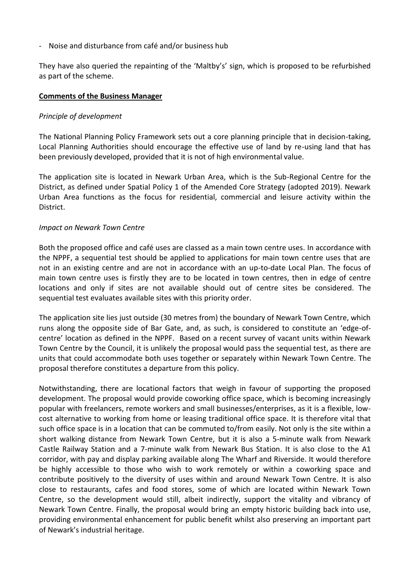- Noise and disturbance from café and/or business hub

They have also queried the repainting of the 'Maltby's' sign, which is proposed to be refurbished as part of the scheme.

#### **Comments of the Business Manager**

#### *Principle of development*

The National Planning Policy Framework sets out a core planning principle that in decision-taking, Local Planning Authorities should encourage the effective use of land by re-using land that has been previously developed, provided that it is not of high environmental value.

The application site is located in Newark Urban Area, which is the Sub-Regional Centre for the District, as defined under Spatial Policy 1 of the Amended Core Strategy (adopted 2019). Newark Urban Area functions as the focus for residential, commercial and leisure activity within the District.

#### *Impact on Newark Town Centre*

Both the proposed office and café uses are classed as a main town centre uses. In accordance with the NPPF, a sequential test should be applied to applications for main town centre uses that are not in an existing centre and are not in accordance with an up-to-date Local Plan. The focus of main town centre uses is firstly they are to be located in town centres, then in edge of centre locations and only if sites are not available should out of centre sites be considered. The sequential test evaluates available sites with this priority order.

The application site lies just outside (30 metres from) the boundary of Newark Town Centre, which runs along the opposite side of Bar Gate, and, as such, is considered to constitute an 'edge-ofcentre' location as defined in the NPPF. Based on a recent survey of vacant units within Newark Town Centre by the Council, it is unlikely the proposal would pass the sequential test, as there are units that could accommodate both uses together or separately within Newark Town Centre. The proposal therefore constitutes a departure from this policy.

Notwithstanding, there are locational factors that weigh in favour of supporting the proposed development. The proposal would provide coworking office space, which is becoming increasingly popular with freelancers, remote workers and small businesses/enterprises, as it is a flexible, lowcost alternative to working from home or leasing traditional office space. It is therefore vital that such office space is in a location that can be commuted to/from easily. Not only is the site within a short walking distance from Newark Town Centre, but it is also a 5-minute walk from Newark Castle Railway Station and a 7-minute walk from Newark Bus Station. It is also close to the A1 corridor, with pay and display parking available along The Wharf and Riverside. It would therefore be highly accessible to those who wish to work remotely or within a coworking space and contribute positively to the diversity of uses within and around Newark Town Centre. It is also close to restaurants, cafes and food stores, some of which are located within Newark Town Centre, so the development would still, albeit indirectly, support the vitality and vibrancy of Newark Town Centre. Finally, the proposal would bring an empty historic building back into use, providing environmental enhancement for public benefit whilst also preserving an important part of Newark's industrial heritage.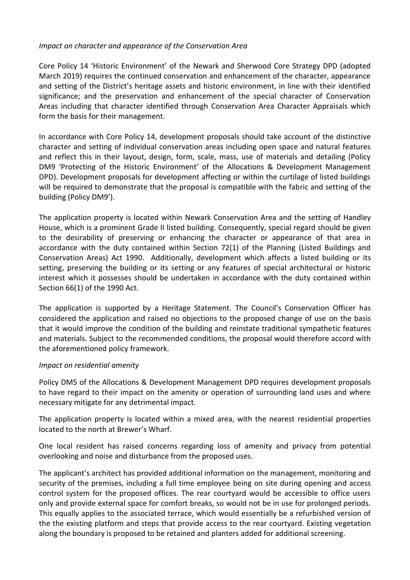## *Impact on character and appearance of the Conservation Area*

Core Policy 14 'Historic Environment' of the Newark and Sherwood Core Strategy DPD (adopted March 2019) requires the continued conservation and enhancement of the character, appearance and setting of the District's heritage assets and historic environment, in line with their identified significance; and the preservation and enhancement of the special character of Conservation Areas including that character identified through Conservation Area Character Appraisals which form the basis for their management.

In accordance with Core Policy 14, development proposals should take account of the distinctive character and setting of individual conservation areas including open space and natural features and reflect this in their layout, design, form, scale, mass, use of materials and detailing (Policy DM9 'Protecting of the Historic Environment' of the Allocations & Development Management DPD). Development proposals for development affecting or within the curtilage of listed buildings will be required to demonstrate that the proposal is compatible with the fabric and setting of the building (Policy DM9').

The application property is located within Newark Conservation Area and the setting of Handley House, which is a prominent Grade II listed building. Consequently, special regard should be given to the desirability of preserving or enhancing the character or appearance of that area in accordance with the duty contained within Section 72(1) of the Planning (Listed Buildings and Conservation Areas) Act 1990. Additionally, development which affects a listed building or its setting, preserving the building or its setting or any features of special architectural or historic interest which it possesses should be undertaken in accordance with the duty contained within Section 66(1) of the 1990 Act.

The application is supported by a Heritage Statement. The Council's Conservation Officer has considered the application and raised no objections to the proposed change of use on the basis that it would improve the condition of the building and reinstate traditional sympathetic features and materials. Subject to the recommended conditions, the proposal would therefore accord with the aforementioned policy framework.

#### *Impact on residential amenity*

Policy DM5 of the Allocations & Development Management DPD requires development proposals to have regard to their impact on the amenity or operation of surrounding land uses and where necessary mitigate for any detrimental impact.

The application property is located within a mixed area, with the nearest residential properties located to the north at Brewer's Wharf.

One local resident has raised concerns regarding loss of amenity and privacy from potential overlooking and noise and disturbance from the proposed uses.

The applicant's architect has provided additional information on the management, monitoring and security of the premises, including a full time employee being on site during opening and access control system for the proposed offices. The rear courtyard would be accessible to office users only and provide external space for comfort breaks, so would not be in use for prolonged periods. This equally applies to the associated terrace, which would essentially be a refurbished version of the the existing platform and steps that provide access to the rear courtyard. Existing vegetation along the boundary is proposed to be retained and planters added for additional screening.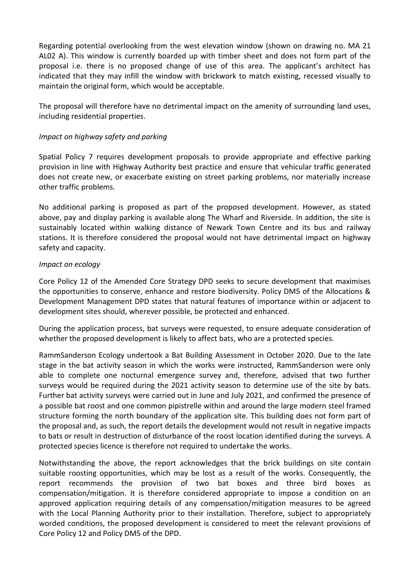Regarding potential overlooking from the west elevation window (shown on drawing no. MA 21 AL02 A). This window is currently boarded up with timber sheet and does not form part of the proposal i.e. there is no proposed change of use of this area. The applicant's architect has indicated that they may infill the window with brickwork to match existing, recessed visually to maintain the original form, which would be acceptable.

The proposal will therefore have no detrimental impact on the amenity of surrounding land uses, including residential properties.

## *Impact on highway safety and parking*

Spatial Policy 7 requires development proposals to provide appropriate and effective parking provision in line with Highway Authority best practice and ensure that vehicular traffic generated does not create new, or exacerbate existing on street parking problems, nor materially increase other traffic problems.

No additional parking is proposed as part of the proposed development. However, as stated above, pay and display parking is available along The Wharf and Riverside. In addition, the site is sustainably located within walking distance of Newark Town Centre and its bus and railway stations. It is therefore considered the proposal would not have detrimental impact on highway safety and capacity.

## *Impact on ecology*

Core Policy 12 of the Amended Core Strategy DPD seeks to secure development that maximises the opportunities to conserve, enhance and restore biodiversity. Policy DM5 of the Allocations & Development Management DPD states that natural features of importance within or adjacent to development sites should, wherever possible, be protected and enhanced.

During the application process, bat surveys were requested, to ensure adequate consideration of whether the proposed development is likely to affect bats, who are a protected species.

RammSanderson Ecology undertook a Bat Building Assessment in October 2020. Due to the late stage in the bat activity season in which the works were instructed, RammSanderson were only able to complete one nocturnal emergence survey and, therefore, advised that two further surveys would be required during the 2021 activity season to determine use of the site by bats. Further bat activity surveys were carried out in June and July 2021, and confirmed the presence of a possible bat roost and one common pipistrelle within and around the large modern steel framed structure forming the north boundary of the application site. This building does not form part of the proposal and, as such, the report details the development would not result in negative impacts to bats or result in destruction of disturbance of the roost location identified during the surveys. A protected species licence is therefore not required to undertake the works.

Notwithstanding the above, the report acknowledges that the brick buildings on site contain suitable roosting opportunities, which may be lost as a result of the works. Consequently, the report recommends the provision of two bat boxes and three bird boxes as compensation/mitigation. It is therefore considered appropriate to impose a condition on an approved application requiring details of any compensation/mitigation measures to be agreed with the Local Planning Authority prior to their installation. Therefore, subject to appropriately worded conditions, the proposed development is considered to meet the relevant provisions of Core Policy 12 and Policy DM5 of the DPD.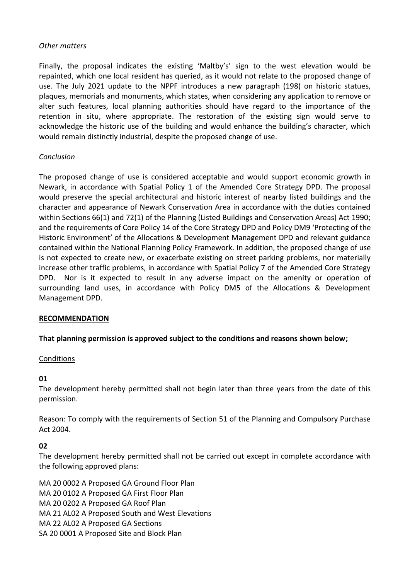## *Other matters*

Finally, the proposal indicates the existing 'Maltby's' sign to the west elevation would be repainted, which one local resident has queried, as it would not relate to the proposed change of use. The July 2021 update to the NPPF introduces a new paragraph (198) on historic statues, plaques, memorials and monuments, which states, when considering any application to remove or alter such features, local planning authorities should have regard to the importance of the retention in situ, where appropriate. The restoration of the existing sign would serve to acknowledge the historic use of the building and would enhance the building's character, which would remain distinctly industrial, despite the proposed change of use.

# *Conclusion*

The proposed change of use is considered acceptable and would support economic growth in Newark, in accordance with Spatial Policy 1 of the Amended Core Strategy DPD. The proposal would preserve the special architectural and historic interest of nearby listed buildings and the character and appearance of Newark Conservation Area in accordance with the duties contained within Sections 66(1) and 72(1) of the Planning (Listed Buildings and Conservation Areas) Act 1990; and the requirements of Core Policy 14 of the Core Strategy DPD and Policy DM9 'Protecting of the Historic Environment' of the Allocations & Development Management DPD and relevant guidance contained within the National Planning Policy Framework. In addition, the proposed change of use is not expected to create new, or exacerbate existing on street parking problems, nor materially increase other traffic problems, in accordance with Spatial Policy 7 of the Amended Core Strategy DPD. Nor is it expected to result in any adverse impact on the amenity or operation of surrounding land uses, in accordance with Policy DM5 of the Allocations & Development Management DPD.

#### **RECOMMENDATION**

#### **That planning permission is approved subject to the conditions and reasons shown below;**

#### Conditions

#### **01**

The development hereby permitted shall not begin later than three years from the date of this permission.

Reason: To comply with the requirements of Section 51 of the Planning and Compulsory Purchase Act 2004.

#### **02**

The development hereby permitted shall not be carried out except in complete accordance with the following approved plans:

MA 20 0002 A Proposed GA Ground Floor Plan MA 20 0102 A Proposed GA First Floor Plan MA 20 0202 A Proposed GA Roof Plan MA 21 AL02 A Proposed South and West Elevations MA 22 AL02 A Proposed GA Sections SA 20 0001 A Proposed Site and Block Plan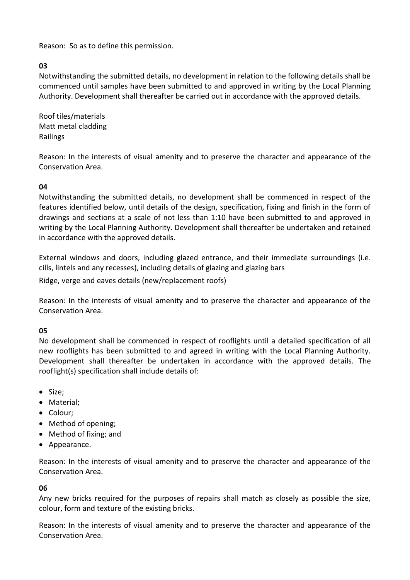Reason: So as to define this permission.

# **03**

Notwithstanding the submitted details, no development in relation to the following details shall be commenced until samples have been submitted to and approved in writing by the Local Planning Authority. Development shall thereafter be carried out in accordance with the approved details.

Roof tiles/materials Matt metal cladding Railings

Reason: In the interests of visual amenity and to preserve the character and appearance of the Conservation Area.

# **04**

Notwithstanding the submitted details, no development shall be commenced in respect of the features identified below, until details of the design, specification, fixing and finish in the form of drawings and sections at a scale of not less than 1:10 have been submitted to and approved in writing by the Local Planning Authority. Development shall thereafter be undertaken and retained in accordance with the approved details.

External windows and doors, including glazed entrance, and their immediate surroundings (i.e. cills, lintels and any recesses), including details of glazing and glazing bars

Ridge, verge and eaves details (new/replacement roofs)

Reason: In the interests of visual amenity and to preserve the character and appearance of the Conservation Area.

# **05**

No development shall be commenced in respect of rooflights until a detailed specification of all new rooflights has been submitted to and agreed in writing with the Local Planning Authority. Development shall thereafter be undertaken in accordance with the approved details. The rooflight(s) specification shall include details of:

- Size;
- Material;
- Colour;
- Method of opening;
- Method of fixing; and
- Appearance.

Reason: In the interests of visual amenity and to preserve the character and appearance of the Conservation Area.

# **06**

Any new bricks required for the purposes of repairs shall match as closely as possible the size, colour, form and texture of the existing bricks.

Reason: In the interests of visual amenity and to preserve the character and appearance of the Conservation Area.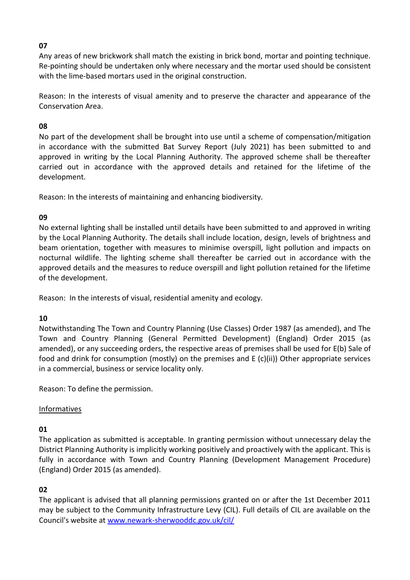# **07**

Any areas of new brickwork shall match the existing in brick bond, mortar and pointing technique. Re-pointing should be undertaken only where necessary and the mortar used should be consistent with the lime-based mortars used in the original construction.

Reason: In the interests of visual amenity and to preserve the character and appearance of the Conservation Area.

# **08**

No part of the development shall be brought into use until a scheme of compensation/mitigation in accordance with the submitted Bat Survey Report (July 2021) has been submitted to and approved in writing by the Local Planning Authority. The approved scheme shall be thereafter carried out in accordance with the approved details and retained for the lifetime of the development.

Reason: In the interests of maintaining and enhancing biodiversity.

# **09**

No external lighting shall be installed until details have been submitted to and approved in writing by the Local Planning Authority. The details shall include location, design, levels of brightness and beam orientation, together with measures to minimise overspill, light pollution and impacts on nocturnal wildlife. The lighting scheme shall thereafter be carried out in accordance with the approved details and the measures to reduce overspill and light pollution retained for the lifetime of the development.

Reason: In the interests of visual, residential amenity and ecology.

# **10**

Notwithstanding The Town and Country Planning (Use Classes) Order 1987 (as amended), and The Town and Country Planning (General Permitted Development) (England) Order 2015 (as amended), or any succeeding orders, the respective areas of premises shall be used for E(b) Sale of food and drink for consumption (mostly) on the premises and E (c)(ii)) Other appropriate services in a commercial, business or service locality only.

Reason: To define the permission.

# Informatives

# **01**

The application as submitted is acceptable. In granting permission without unnecessary delay the District Planning Authority is implicitly working positively and proactively with the applicant. This is fully in accordance with Town and Country Planning (Development Management Procedure) (England) Order 2015 (as amended).

# **02**

The applicant is advised that all planning permissions granted on or after the 1st December 2011 may be subject to the Community Infrastructure Levy (CIL). Full details of CIL are available on the Council's website at [www.newark-sherwooddc.gov.uk/cil/](http://www.newark-sherwooddc.gov.uk/cil/)